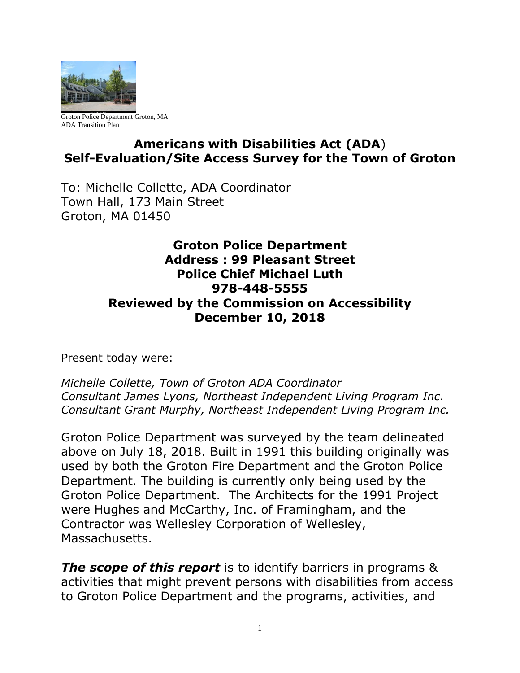

Groton Police Department Groton, MA ADA Transition Plan

## **Americans with Disabilities Act (ADA**) **Self-Evaluation/Site Access Survey for the Town of Groton**

To: Michelle Collette, ADA Coordinator Town Hall, 173 Main Street Groton, MA 01450

### **Groton Police Department Address : 99 Pleasant Street Police Chief Michael Luth 978-448-5555 Reviewed by the Commission on Accessibility December 10, 2018**

Present today were:

*Michelle Collette, Town of Groton ADA Coordinator Consultant James Lyons, Northeast Independent Living Program Inc. Consultant Grant Murphy, Northeast Independent Living Program Inc.*

Groton Police Department was surveyed by the team delineated above on July 18, 2018. Built in 1991 this building originally was used by both the Groton Fire Department and the Groton Police Department. The building is currently only being used by the Groton Police Department. The Architects for the 1991 Project were Hughes and McCarthy, Inc. of Framingham, and the Contractor was Wellesley Corporation of Wellesley, Massachusetts.

*The scope of this report* is to identify barriers in programs & activities that might prevent persons with disabilities from access to Groton Police Department and the programs, activities, and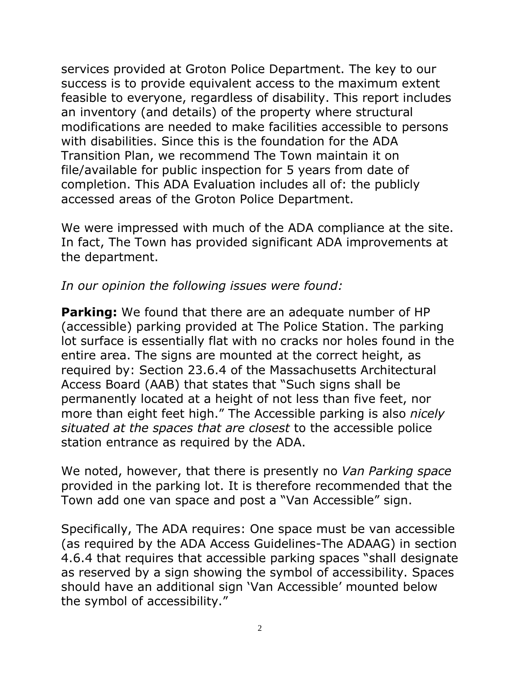services provided at Groton Police Department. The key to our success is to provide equivalent access to the maximum extent feasible to everyone, regardless of disability. This report includes an inventory (and details) of the property where structural modifications are needed to make facilities accessible to persons with disabilities. Since this is the foundation for the ADA Transition Plan, we recommend The Town maintain it on file/available for public inspection for 5 years from date of completion. This ADA Evaluation includes all of: the publicly accessed areas of the Groton Police Department.

We were impressed with much of the ADA compliance at the site. In fact, The Town has provided significant ADA improvements at the department.

### *In our opinion the following issues were found:*

**Parking:** We found that there are an adequate number of HP (accessible) parking provided at The Police Station. The parking lot surface is essentially flat with no cracks nor holes found in the entire area. The signs are mounted at the correct height, as required by: Section 23.6.4 of the Massachusetts Architectural Access Board (AAB) that states that "Such signs shall be permanently located at a height of not less than five feet, nor more than eight feet high." The Accessible parking is also *nicely situated at the spaces that are closest* to the accessible police station entrance as required by the ADA.

We noted, however, that there is presently no *Van Parking space* provided in the parking lot. It is therefore recommended that the Town add one van space and post a "Van Accessible" sign.

Specifically, The ADA requires: One space must be van accessible (as required by the ADA Access Guidelines-The ADAAG) in section 4.6.4 that requires that accessible parking spaces "shall designate as reserved by a sign showing the symbol of accessibility. Spaces should have an additional sign 'Van Accessible' mounted below the symbol of accessibility."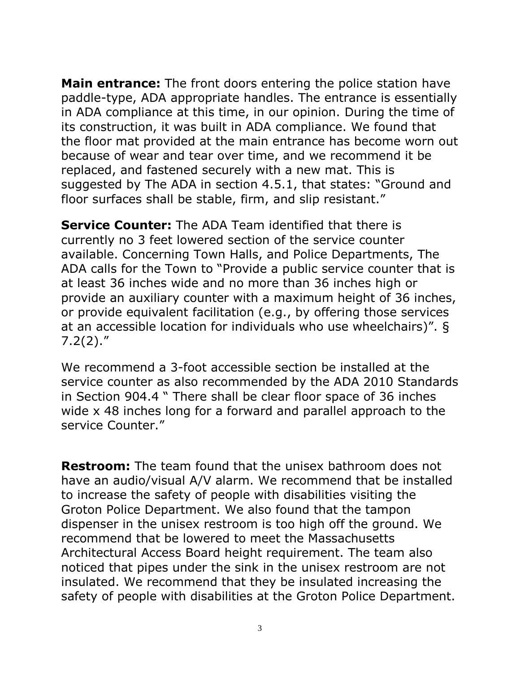**Main entrance:** The front doors entering the police station have paddle-type, ADA appropriate handles. The entrance is essentially in ADA compliance at this time, in our opinion. During the time of its construction, it was built in ADA compliance. We found that the floor mat provided at the main entrance has become worn out because of wear and tear over time, and we recommend it be replaced, and fastened securely with a new mat. This is suggested by The ADA in section 4.5.1, that states: "Ground and floor surfaces shall be stable, firm, and slip resistant."

**Service Counter:** The ADA Team identified that there is currently no 3 feet lowered section of the service counter available. Concerning Town Halls, and Police Departments, The ADA calls for the Town to "Provide a public service counter that is at least 36 inches wide and no more than 36 inches high or provide an auxiliary counter with a maximum height of 36 inches, or provide equivalent facilitation (e.g., by offering those services at an accessible location for individuals who use wheelchairs)". §  $7.2(2).''$ 

We recommend a 3-foot accessible section be installed at the service counter as also recommended by the ADA 2010 Standards in Section 904.4 " There shall be clear floor space of 36 inches wide x 48 inches long for a forward and parallel approach to the service Counter."

**Restroom:** The team found that the unisex bathroom does not have an audio/visual A/V alarm. We recommend that be installed to increase the safety of people with disabilities visiting the Groton Police Department. We also found that the tampon dispenser in the unisex restroom is too high off the ground. We recommend that be lowered to meet the Massachusetts Architectural Access Board height requirement. The team also noticed that pipes under the sink in the unisex restroom are not insulated. We recommend that they be insulated increasing the safety of people with disabilities at the Groton Police Department.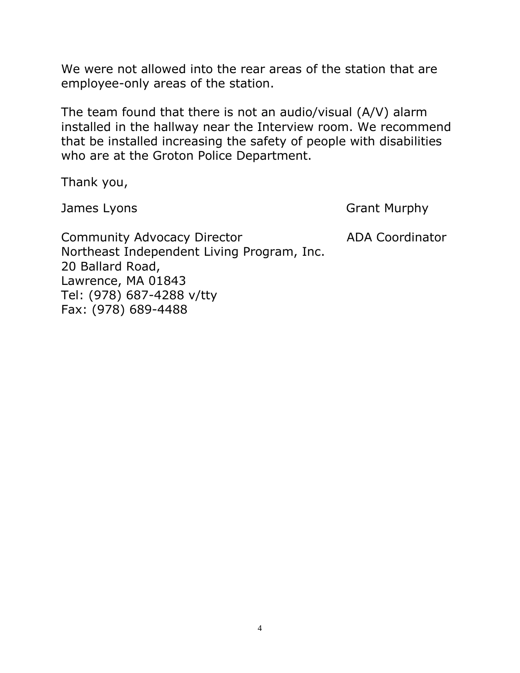We were not allowed into the rear areas of the station that are employee-only areas of the station.

The team found that there is not an audio/visual (A/V) alarm installed in the hallway near the Interview room. We recommend that be installed increasing the safety of people with disabilities who are at the Groton Police Department.

Thank you,

James Lyons **Grant Murphy** 

Community Advocacy Director **ADA Coordinator** Northeast Independent Living Program, Inc. 20 Ballard Road, Lawrence, MA 01843 Tel: (978) 687-4288 v/tty Fax: (978) 689-4488